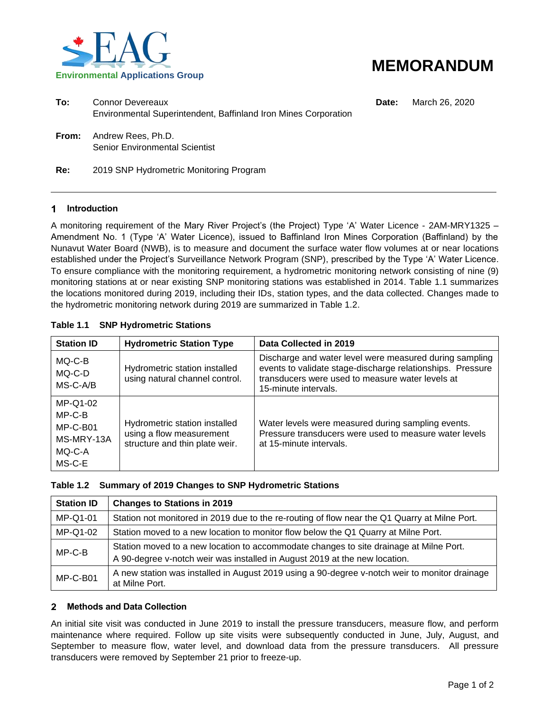



| To: | Connor Devereaux<br>Environmental Superintendent, Baffinland Iron Mines Corporation |
|-----|-------------------------------------------------------------------------------------|
|     |                                                                                     |

**Date:** March 26, 2020

**From:** Andrew Rees, Ph.D. Senior Environmental Scientist

**Re:** 2019 SNP Hydrometric Monitoring Program

## 1 **Introduction**

A monitoring requirement of the Mary River Project's (the Project) Type 'A' Water Licence - 2AM-MRY1325 – Amendment No. 1 (Type 'A' Water Licence), issued to Baffinland Iron Mines Corporation (Baffinland) by the Nunavut Water Board (NWB), is to measure and document the surface water flow volumes at or near locations established under the Project's Surveillance Network Program (SNP), prescribed by the Type 'A' Water Licence. To ensure compliance with the monitoring requirement, a hydrometric monitoring network consisting of nine (9) monitoring stations at or near existing SNP monitoring stations was established in 2014. Table 1.1 summarizes the locations monitored during 2019, including their IDs, station types, and the data collected. Changes made to the hydrometric monitoring network during 2019 are summarized in Table 1.2.

## **Table 1.1 SNP Hydrometric Stations**

| <b>Station ID</b>                                                  | <b>Hydrometric Station Type</b>                                                             | Data Collected in 2019                                                                                                                                                                            |
|--------------------------------------------------------------------|---------------------------------------------------------------------------------------------|---------------------------------------------------------------------------------------------------------------------------------------------------------------------------------------------------|
| MQ-C-B<br>MQ-C-D<br>MS-C-A/B                                       | Hydrometric station installed<br>using natural channel control.                             | Discharge and water level were measured during sampling<br>events to validate stage-discharge relationships. Pressure<br>transducers were used to measure water levels at<br>15-minute intervals. |
| MP-Q1-02<br>MP-C-B<br>$MP-C-B01$<br>MS-MRY-13A<br>MQ-C-A<br>MS-C-E | Hydrometric station installed<br>using a flow measurement<br>structure and thin plate weir. | Water levels were measured during sampling events.<br>Pressure transducers were used to measure water levels<br>at 15-minute intervals.                                                           |

|  |  |  |  |  |  | Table 1.2 Summary of 2019 Changes to SNP Hydrometric Stations |
|--|--|--|--|--|--|---------------------------------------------------------------|
|--|--|--|--|--|--|---------------------------------------------------------------|

| <b>Station ID</b> | <b>Changes to Stations in 2019</b>                                                                                                                                   |
|-------------------|----------------------------------------------------------------------------------------------------------------------------------------------------------------------|
| MP-Q1-01          | Station not monitored in 2019 due to the re-routing of flow near the Q1 Quarry at Milne Port.                                                                        |
| MP-Q1-02          | Station moved to a new location to monitor flow below the Q1 Quarry at Milne Port.                                                                                   |
| $MP-C-B$          | Station moved to a new location to accommodate changes to site drainage at Milne Port.<br>A 90-degree v-notch weir was installed in August 2019 at the new location. |
| $MP-C-B01$        | A new station was installed in August 2019 using a 90-degree v-notch weir to monitor drainage<br>at Milne Port.                                                      |

#### $2<sup>1</sup>$ **Methods and Data Collection**

An initial site visit was conducted in June 2019 to install the pressure transducers, measure flow, and perform maintenance where required. Follow up site visits were subsequently conducted in June, July, August, and September to measure flow, water level, and download data from the pressure transducers. All pressure transducers were removed by September 21 prior to freeze-up.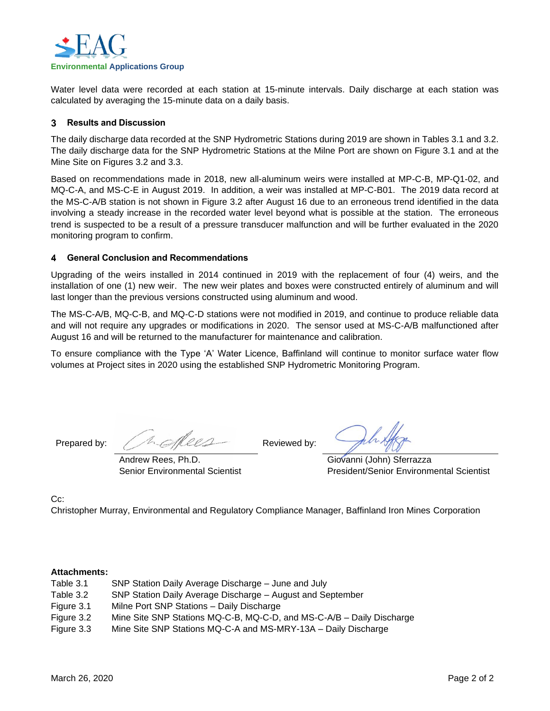

Water level data were recorded at each station at 15-minute intervals. Daily discharge at each station was calculated by averaging the 15-minute data on a daily basis.

## **Results and Discussion** 3

The daily discharge data recorded at the SNP Hydrometric Stations during 2019 are shown in Tables 3.1 and 3.2. The daily discharge data for the SNP Hydrometric Stations at the Milne Port are shown on Figure 3.1 and at the Mine Site on Figures 3.2 and 3.3.

Based on recommendations made in 2018, new all-aluminum weirs were installed at MP-C-B, MP-Q1-02, and MQ-C-A, and MS-C-E in August 2019. In addition, a weir was installed at MP-C-B01. The 2019 data record at the MS-C-A/B station is not shown in Figure 3.2 after August 16 due to an erroneous trend identified in the data involving a steady increase in the recorded water level beyond what is possible at the station. The erroneous trend is suspected to be a result of a pressure transducer malfunction and will be further evaluated in the 2020 monitoring program to confirm.

#### 4 **General Conclusion and Recommendations**

Upgrading of the weirs installed in 2014 continued in 2019 with the replacement of four (4) weirs, and the installation of one (1) new weir. The new weir plates and boxes were constructed entirely of aluminum and will last longer than the previous versions constructed using aluminum and wood.

The MS-C-A/B, MQ-C-B, and MQ-C-D stations were not modified in 2019, and continue to produce reliable data and will not require any upgrades or modifications in 2020. The sensor used at MS-C-A/B malfunctioned after August 16 and will be returned to the manufacturer for maintenance and calibration.

To ensure compliance with the Type 'A' Water Licence, Baffinland will continue to monitor surface water flow volumes at Project sites in 2020 using the established SNP Hydrometric Monitoring Program.

Prepared by: A CACCO Reviewed by:

Senior Environmental Scientist

Andrew Rees, Ph.D.

Giovanni (John) Sferrazza President/Senior Environmental Scientist

## C<sub>c</sub>:

Christopher Murray, Environmental and Regulatory Compliance Manager, Baffinland Iron Mines Corporation

## **Attachments:**

- Table 3.1 SNP Station Daily Average Discharge June and July
- Table 3.2 SNP Station Daily Average Discharge August and September
- Figure 3.1 Milne Port SNP Stations Daily Discharge
- Figure 3.2 Mine Site SNP Stations MQ-C-B, MQ-C-D, and MS-C-A/B Daily Discharge
- Figure 3.3 Mine Site SNP Stations MQ-C-A and MS-MRY-13A Daily Discharge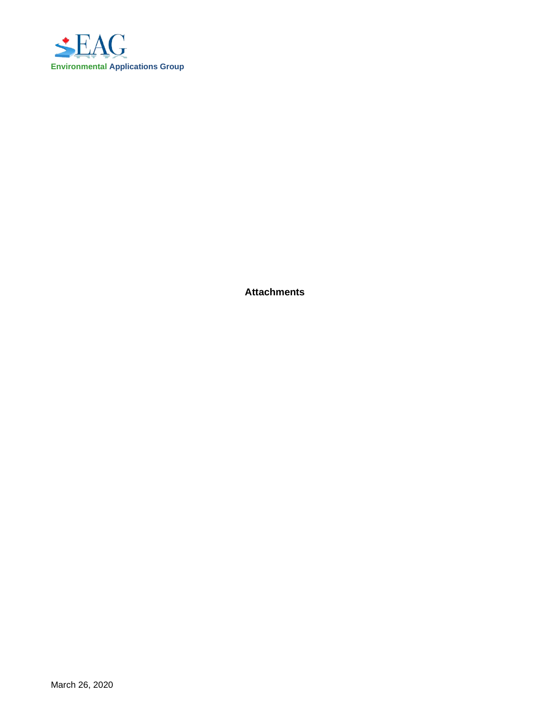

**Attachments**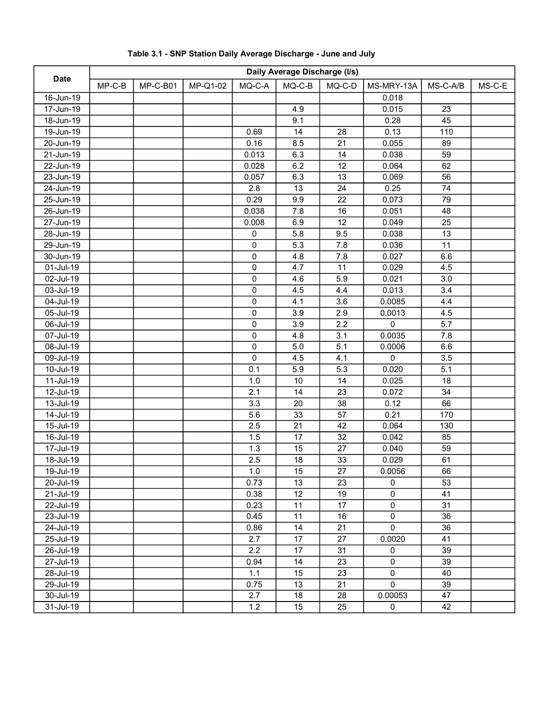| <b>Date</b>             | Daily Average Discharge (I/s) |          |          |           |          |        |             |          |        |
|-------------------------|-------------------------------|----------|----------|-----------|----------|--------|-------------|----------|--------|
|                         | $MP-C-B$                      | MP-C-B01 | MP-Q1-02 | MQ-C-A    | $MQ-C-B$ | MQ-C-D | MS-MRY-13A  | MS-C-A/B | MS-C-E |
| 16-Jun-19               |                               |          |          |           |          |        | 0.018       |          |        |
| 17-Jun-19               |                               |          |          |           | 4.9      |        | 0.015       | 23       |        |
| 18-Jun-19               |                               |          |          |           | 9.1      |        | 0.28        | 45       |        |
| 19-Jun-19               |                               |          |          | 0.69      | 14       | 28     | 0.13        | 110      |        |
| 20-Jun-19               |                               |          |          | 0.16      | 8.5      | 21     | 0.055       | 89       |        |
| $\overline{2}$ 1-Jun-19 |                               |          |          | 0.013     | 6.3      | 14     | 0.038       | 59       |        |
| $22 - Jun-19$           |                               |          |          | 0.028     | 6.2      | 12     | 0.064       | 62       |        |
| $23$ -Jun-19            |                               |          |          | 0.057     | 6.3      | 13     | 0.069       | 56       |        |
| 24-Jun-19               |                               |          |          | 2.8       | 13       | 24     | 0.25        | 74       |        |
| 25-Jun-19               |                               |          |          | 0.29      | 9.9      | 22     | 0.073       | 79       |        |
| 26-Jun-19               |                               |          |          | 0.038     | 7.8      | 16     | 0.051       | 48       |        |
| $\overline{27}$ -Jun-19 |                               |          |          | 0.008     | 6.9      | 12     | 0.049       | 25       |        |
| 28-Jun-19               |                               |          |          | $\pmb{0}$ | 5.8      | 9.5    | 0.038       | 13       |        |
| 29-Jun-19               |                               |          |          | 0         | 5.3      | 7.8    | 0.036       | 11       |        |
| 30-Jun-19               |                               |          |          | 0         | 4.8      | 7.8    | 0.027       | 6.6      |        |
| 01-Jul-19               |                               |          |          | $\pmb{0}$ | 4.7      | 11     | 0.029       | 4.5      |        |
| 02-Jul-19               |                               |          |          | $\pmb{0}$ | 4.6      | 5.9    | 0.021       | 3.0      |        |
| 03-Jul-19               |                               |          |          | $\pmb{0}$ | 4.5      | 4.4    | 0.013       | 3.4      |        |
| 04-Jul-19               |                               |          |          | 0         | 4.1      | 3.6    | 0.0085      | 4.4      |        |
| 05-Jul-19               |                               |          |          | 0         | 3.9      | 2.9    | 0.0013      | 4.5      |        |
| 06-Jul-19               |                               |          |          | 0         | 3.9      | 2.2    | $\mathbf 0$ | 5.7      |        |
| 07-Jul-19               |                               |          |          | $\pmb{0}$ | 4.8      | 3.1    | 0.0035      | 7.8      |        |
| 08-Jul-19               |                               |          |          | $\pmb{0}$ | $5.0\,$  | 5.1    | 0.0006      | 6.6      |        |
| 09-Jul-19               |                               |          |          | 0         | 4.5      | 4.1    | $\pmb{0}$   | 3.5      |        |
| 10-Jul-19               |                               |          |          | 0.1       | 5.9      | 5.3    | 0.020       | 5.1      |        |
| 11-Jul-19               |                               |          |          | 1.0       | $10$     | 14     | 0.025       | 18       |        |
| 12-Jul-19               |                               |          |          | 2.1       | 14       | 23     | 0.072       | 34       |        |
| 13-Jul-19               |                               |          |          | 3.3       | 20       | 38     | 0.12        | 66       |        |
| 14-Jul-19               |                               |          |          | 5.6       | 33       | 57     | 0.21        | 170      |        |
| 15-Jul-19               |                               |          |          | 2.5       | 21       | 42     | 0.064       | 130      |        |
| 16-Jul-19               |                               |          |          | 1.5       | 17       | 32     | 0.042       | 85       |        |
| 17-Jul-19               |                               |          |          | 1.3       | 15       | 27     | 0.040       | 59       |        |
| 18-Jul-19               |                               |          |          | 2.5       | 18       | 33     | 0.029       | 61       |        |
| 19-Jul-19               |                               |          |          | 1.0       | 15       | 27     | 0.0056      | 66       |        |
| 20-Jul-19               |                               |          |          | 0.73      | 13       | 23     | 0           | 53       |        |
| 21-Jul-19               |                               |          |          | 0.38      | 12       | 19     | 0           | 41       |        |
| 22-Jul-19               |                               |          |          | 0.23      | 11       | 17     | $\pmb{0}$   | 31       |        |
| 23-Jul-19               |                               |          |          | 0.45      | 11       | 16     | $\pmb{0}$   | 36       |        |
| 24-Jul-19               |                               |          |          | 0.86      | 14       | 21     | $\mathbf 0$ | 36       |        |
| 25-Jul-19               |                               |          |          | 2.7       | 17       | 27     | 0.0020      | 41       |        |
| 26-Jul-19               |                               |          |          | 2.2       | 17       | 31     | 0           | 39       |        |
| 27-Jul-19               |                               |          |          | 0.94      | 14       | 23     | $\pmb{0}$   | 39       |        |
| 28-Jul-19               |                               |          |          | 1.1       | 15       | 23     | $\pmb{0}$   | 40       |        |
| 29-Jul-19               |                               |          |          | 0.75      | 13       | 21     | $\mathbf 0$ | 39       |        |
| 30-Jul-19               |                               |          |          | 2.7       | 18       | 28     | 0.00053     | 47       |        |
| 31-Jul-19               |                               |          |          | 1.2       | 15       | 25     | $\pmb{0}$   | 42       |        |

# Table 3.1 - SNP Station Daily Average Discharge - June and July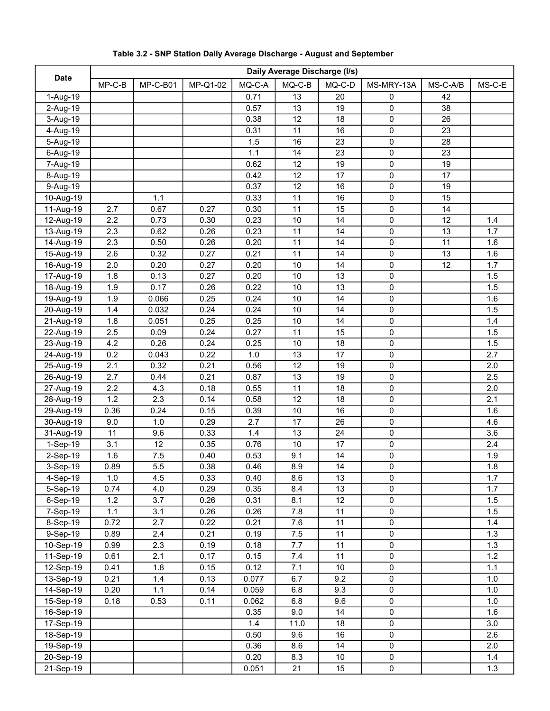|             | Daily Average Discharge (I/s) |          |          |        |                 |                 |             |          |        |
|-------------|-------------------------------|----------|----------|--------|-----------------|-----------------|-------------|----------|--------|
| <b>Date</b> | $MP-C-B$                      | MP-C-B01 | MP-Q1-02 | MQ-C-A | $MQ-C-B$        | $MQ-C-D$        | MS-MRY-13A  | MS-C-A/B | MS-C-E |
| 1-Aug-19    |                               |          |          | 0.71   | 13              | 20              | 0           | 42       |        |
| 2-Aug-19    |                               |          |          | 0.57   | 13              | 19              | 0           | 38       |        |
| 3-Aug-19    |                               |          |          | 0.38   | $\overline{12}$ | $\overline{18}$ | 0           | 26       |        |
| 4-Aug-19    |                               |          |          | 0.31   | 11              | 16              | $\pmb{0}$   | 23       |        |
| 5-Aug-19    |                               |          |          | 1.5    | 16              | 23              | $\pmb{0}$   | 28       |        |
| 6-Aug-19    |                               |          |          | 1.1    | 14              | 23              | $\pmb{0}$   | 23       |        |
| 7-Aug-19    |                               |          |          | 0.62   | 12              | 19              | $\pmb{0}$   | 19       |        |
| 8-Aug-19    |                               |          |          | 0.42   | 12              | 17              | 0           | 17       |        |
| 9-Aug-19    |                               |          |          | 0.37   | 12              | 16              | 0           | 19       |        |
| 10-Aug-19   |                               | 1.1      |          | 0.33   | 11              | 16              | $\pmb{0}$   | 15       |        |
| 11-Aug-19   | 2.7                           | 0.67     | 0.27     | 0.30   | 11              | 15              | 0           | 14       |        |
| 12-Aug-19   | 2.2                           | 0.73     | 0.30     | 0.23   | 10              | 14              | 0           | 12       | 1.4    |
| 13-Aug-19   | 2.3                           | 0.62     | 0.26     | 0.23   | 11              | 14              | 0           | 13       | 1.7    |
| 14-Aug-19   | 2.3                           | 0.50     | 0.26     | 0.20   | 11              | 14              | 0           | 11       | 1.6    |
| 15-Aug-19   | 2.6                           | 0.32     | 0.27     | 0.21   | 11              | 14              | 0           | 13       | 1.6    |
| 16-Aug-19   | 2.0                           | 0.20     | 0.27     | 0.20   | 10              | 14              | 0           | 12       | 1.7    |
| 17-Aug-19   | 1.8                           | 0.13     | 0.27     | 0.20   | 10              | 13              | $\pmb{0}$   |          | 1.5    |
| 18-Aug-19   | 1.9                           | 0.17     | 0.26     | 0.22   | $10$            | 13              | $\pmb{0}$   |          | 1.5    |
| 19-Aug-19   | 1.9                           | 0.066    | 0.25     | 0.24   | $10$            | 14              | $\pmb{0}$   |          | 1.6    |
| 20-Aug-19   | 1.4                           | 0.032    | 0.24     | 0.24   | 10              | 14              | $\pmb{0}$   |          | 1.5    |
| 21-Aug-19   | 1.8                           | 0.051    | 0.25     | 0.25   | $10$            | 14              | $\pmb{0}$   |          | 1.4    |
| 22-Aug-19   | 2.5                           | 0.09     | 0.24     | 0.27   | 11              | 15              | 0           |          | 1.5    |
| 23-Aug-19   | 4.2                           | 0.26     | 0.24     | 0.25   | 10              | 18              | 0           |          | 1.5    |
| 24-Aug-19   | 0.2                           | 0.043    | 0.22     | 1.0    | 13              | 17              | 0           |          | 2.7    |
| 25-Aug-19   | 2.1                           | 0.32     | 0.21     | 0.56   | 12              | 19              | 0           |          | 2.0    |
| 26-Aug-19   | 2.7                           | 0.44     | 0.21     | 0.87   | 13              | 19              | 0           |          | 2.5    |
| 27-Aug-19   | 2.2                           | 4.3      | 0.18     | 0.55   | 11              | 18              | 0           |          | 2.0    |
| 28-Aug-19   | 1.2                           | 2.3      | 0.14     | 0.58   | $\overline{12}$ | $\overline{18}$ | 0           |          | 2.1    |
| 29-Aug-19   | 0.36                          | 0.24     | 0.15     | 0.39   | 10              | 16              | $\pmb{0}$   |          | 1.6    |
| 30-Aug-19   | 9.0                           | 1.0      | 0.29     | 2.7    | 17              | 26              | $\pmb{0}$   |          | 4.6    |
| 31-Aug-19   | 11                            | 9.6      | 0.33     | 1.4    | 13              | 24              | $\pmb{0}$   |          | 3.6    |
| 1-Sep-19    | 3.1                           | 12       | 0.35     | 0.76   | 10              | 17              | $\pmb{0}$   |          | 2.4    |
| 2-Sep-19    | 1.6                           | 7.5      | 0.40     | 0.53   | 9.1             | 14              | 0           |          | 1.9    |
| 3-Sep-19    | 0.89                          | 5.5      | 0.38     | 0.46   | 8.9             | 14              | $\mathbf 0$ |          | 1.8    |
| 4-Sep-19    | 1.0                           | 4.5      | 0.33     | 0.40   | 8.6             | 13              | 0           |          | 1.7    |
| $5-$ Sep-19 | 0.74                          | 4.0      | 0.29     | 0.35   | 8.4             | 13              | 0           |          | 1.7    |
| 6-Sep-19    | 1.2                           | 3.7      | 0.26     | 0.31   | 8.1             | 12              | 0           |          | 1.5    |
| 7-Sep-19    | 1.1                           | 3.1      | 0.26     | 0.26   | 7.8             | 11              | 0           |          | 1.5    |
| 8-Sep-19    | 0.72                          | 2.7      | 0.22     | 0.21   | 7.6             | 11              | 0           |          | 1.4    |
| 9-Sep-19    | 0.89                          | 2.4      | 0.21     | 0.19   | 7.5             | 11              | $\pmb{0}$   |          | 1.3    |
| 10-Sep-19   | 0.99                          | 2.3      | 0.19     | 0.18   | 7.7             | 11              | $\pmb{0}$   |          | 1.3    |
| 11-Sep-19   | 0.61                          | 2.1      | 0.17     | 0.15   | 7.4             | 11              | $\pmb{0}$   |          | 1.2    |
| 12-Sep-19   | 0.41                          | 1.8      | 0.15     | 0.12   | 7.1             | $10$            | 0           |          | 1.1    |
| 13-Sep-19   | 0.21                          | 1.4      | 0.13     | 0.077  | 6.7             | 9.2             | $\pmb{0}$   |          | 1.0    |
| 14-Sep-19   | 0.20                          | 1.1      | 0.14     | 0.059  | 6.8             | 9.3             | $\pmb{0}$   |          | 1.0    |
| 15-Sep-19   | 0.18                          | 0.53     | 0.11     | 0.062  | 6.8             | 9.6             | $\pmb{0}$   |          | 1.0    |
| 16-Sep-19   |                               |          |          | 0.35   | 9.0             | 14              | 0           |          | 1.6    |
| 17-Sep-19   |                               |          |          | 1.4    | 11.0            | 18              | 0           |          | 3.0    |
| 18-Sep-19   |                               |          |          | 0.50   | 9.6             | 16              | $\pmb{0}$   |          | 2.6    |
| 19-Sep-19   |                               |          |          | 0.36   | 8.6             | 14              | 0           |          | 2.0    |
| 20-Sep-19   |                               |          |          | 0.20   | 8.3             | $10$            | $\pmb{0}$   |          | 1.4    |
| 21-Sep-19   |                               |          |          | 0.051  | 21              | 15              | $\pmb{0}$   |          | 1.3    |
|             |                               |          |          |        |                 |                 |             |          |        |

# Table 3.2 - SNP Station Daily Average Discharge - August and September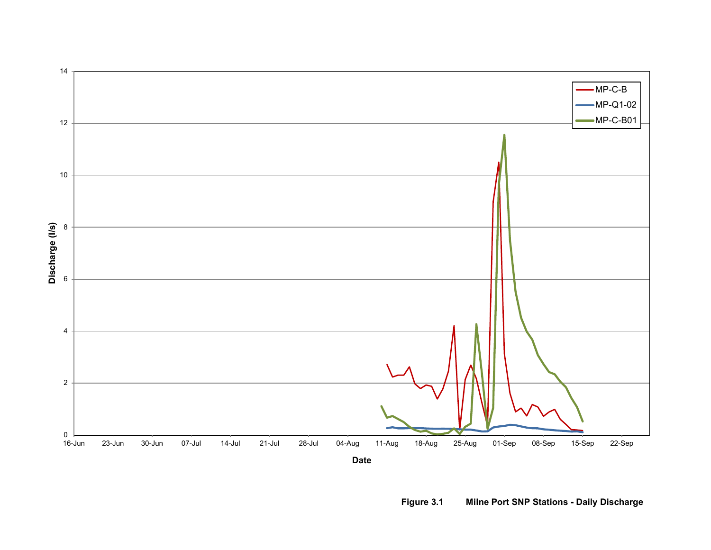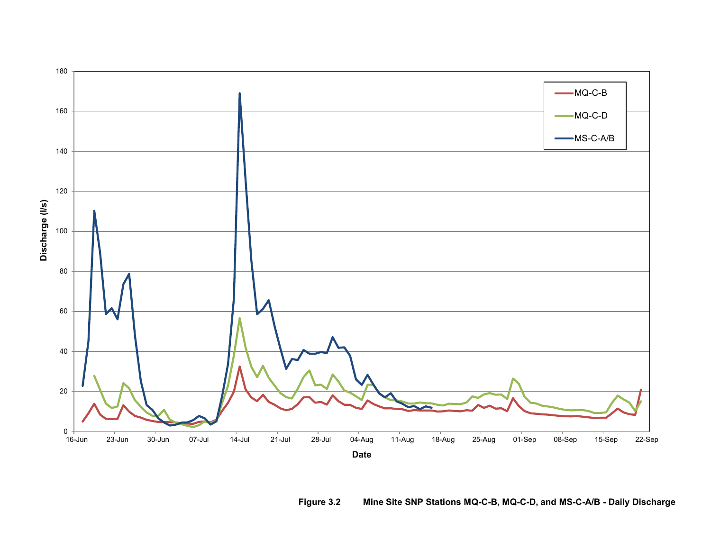